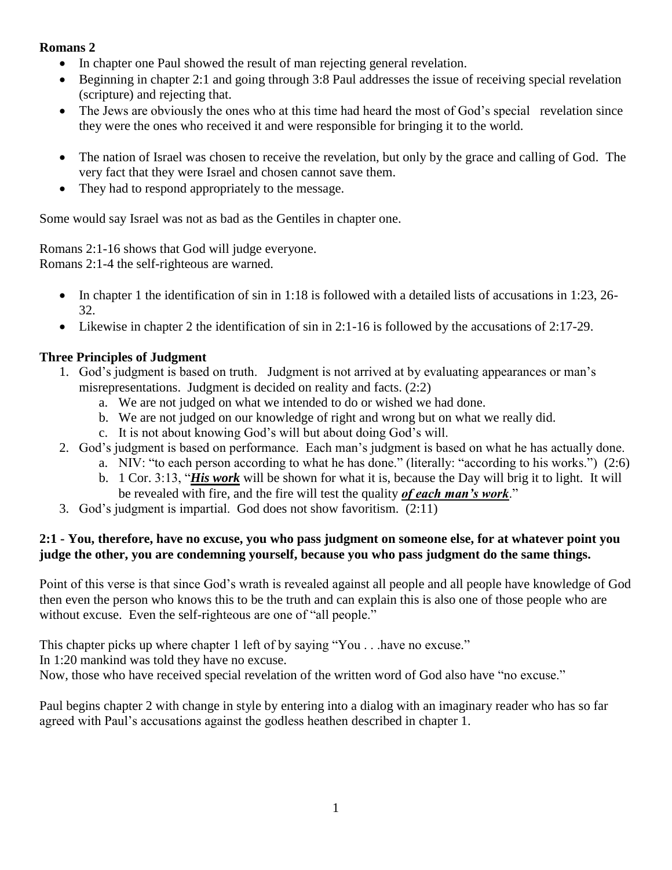## **Romans 2**

- In chapter one Paul showed the result of man rejecting general revelation.
- Beginning in chapter 2:1 and going through 3:8 Paul addresses the issue of receiving special revelation (scripture) and rejecting that.
- The Jews are obviously the ones who at this time had heard the most of God's special revelation since they were the ones who received it and were responsible for bringing it to the world.
- The nation of Israel was chosen to receive the revelation, but only by the grace and calling of God. The very fact that they were Israel and chosen cannot save them.
- They had to respond appropriately to the message.

Some would say Israel was not as bad as the Gentiles in chapter one.

Romans 2:1-16 shows that God will judge everyone.

Romans 2:1-4 the self-righteous are warned.

- In chapter 1 the identification of sin in 1:18 is followed with a detailed lists of accusations in 1:23, 26-32.
- Likewise in chapter 2 the identification of sin in 2:1-16 is followed by the accusations of 2:17-29.

# **Three Principles of Judgment**

- 1. God's judgment is based on truth. Judgment is not arrived at by evaluating appearances or man's misrepresentations. Judgment is decided on reality and facts. (2:2)
	- a. We are not judged on what we intended to do or wished we had done.
	- b. We are not judged on our knowledge of right and wrong but on what we really did.
	- c. It is not about knowing God's will but about doing God's will.
- 2. God's judgment is based on performance. Each man's judgment is based on what he has actually done.
	- a. NIV: "to each person according to what he has done." (literally: "according to his works.") (2:6)
	- b. 1 Cor. 3:13, "*His work* will be shown for what it is, because the Day will brig it to light. It will be revealed with fire, and the fire will test the quality *of each man's work*."
- 3. God's judgment is impartial. God does not show favoritism. (2:11)

### **2:1 - You, therefore, have no excuse, you who pass judgment on someone else, for at whatever point you judge the other, you are condemning yourself, because you who pass judgment do the same things.**

Point of this verse is that since God's wrath is revealed against all people and all people have knowledge of God then even the person who knows this to be the truth and can explain this is also one of those people who are without excuse. Even the self-righteous are one of "all people."

This chapter picks up where chapter 1 left of by saying "You . . .have no excuse."

In 1:20 mankind was told they have no excuse.

Now, those who have received special revelation of the written word of God also have "no excuse."

Paul begins chapter 2 with change in style by entering into a dialog with an imaginary reader who has so far agreed with Paul's accusations against the godless heathen described in chapter 1.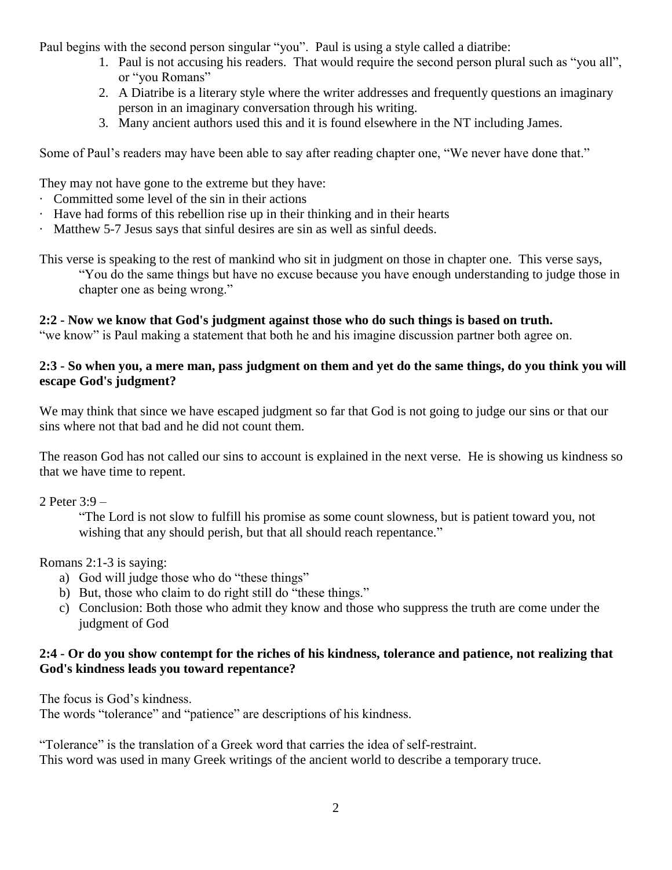Paul begins with the second person singular "you". Paul is using a style called a diatribe:

- 1. Paul is not accusing his readers. That would require the second person plural such as "you all", or "you Romans"
- 2. A Diatribe is a literary style where the writer addresses and frequently questions an imaginary person in an imaginary conversation through his writing.
- 3. Many ancient authors used this and it is found elsewhere in the NT including James.

Some of Paul's readers may have been able to say after reading chapter one, "We never have done that."

They may not have gone to the extreme but they have:

- · Committed some level of the sin in their actions
- · Have had forms of this rebellion rise up in their thinking and in their hearts
- · Matthew 5-7 Jesus says that sinful desires are sin as well as sinful deeds.

This verse is speaking to the rest of mankind who sit in judgment on those in chapter one. This verse says, "You do the same things but have no excuse because you have enough understanding to judge those in chapter one as being wrong."

# **2:2 - Now we know that God's judgment against those who do such things is based on truth.**

"we know" is Paul making a statement that both he and his imagine discussion partner both agree on.

## **2:3 - So when you, a mere man, pass judgment on them and yet do the same things, do you think you will escape God's judgment?**

We may think that since we have escaped judgment so far that God is not going to judge our sins or that our sins where not that bad and he did not count them.

The reason God has not called our sins to account is explained in the next verse. He is showing us kindness so that we have time to repent.

2 Peter 3:9 –

"The Lord is not slow to fulfill his promise as some count slowness, but is patient toward you, not wishing that any should perish, but that all should reach repentance."

# Romans 2:1-3 is saying:

- a) God will judge those who do "these things"
- b) But, those who claim to do right still do "these things."
- c) Conclusion: Both those who admit they know and those who suppress the truth are come under the judgment of God

### **2:4 - Or do you show contempt for the riches of his kindness, tolerance and patience, not realizing that God's kindness leads you toward repentance?**

The focus is God's kindness.

The words "tolerance" and "patience" are descriptions of his kindness.

"Tolerance" is the translation of a Greek word that carries the idea of self-restraint. This word was used in many Greek writings of the ancient world to describe a temporary truce.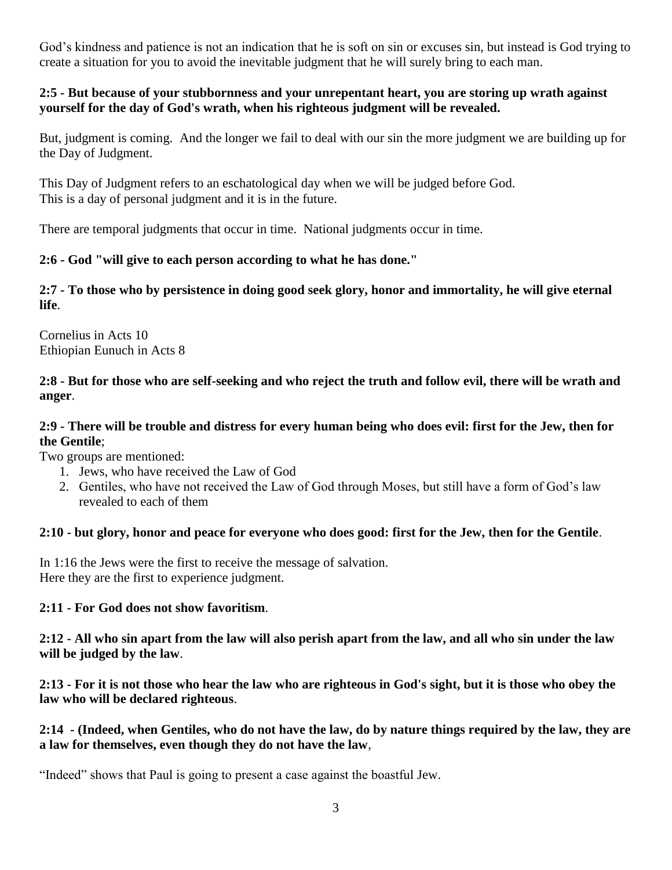God's kindness and patience is not an indication that he is soft on sin or excuses sin, but instead is God trying to create a situation for you to avoid the inevitable judgment that he will surely bring to each man.

### **2:5 - But because of your stubbornness and your unrepentant heart, you are storing up wrath against yourself for the day of God's wrath, when his righteous judgment will be revealed.**

But, judgment is coming. And the longer we fail to deal with our sin the more judgment we are building up for the Day of Judgment.

This Day of Judgment refers to an eschatological day when we will be judged before God. This is a day of personal judgment and it is in the future.

There are temporal judgments that occur in time. National judgments occur in time.

# **2:6 - God "will give to each person according to what he has done."**

**2:7 - To those who by persistence in doing good seek glory, honor and immortality, he will give eternal life**.

Cornelius in Acts 10 Ethiopian Eunuch in Acts 8

**2:8 - But for those who are self-seeking and who reject the truth and follow evil, there will be wrath and anger**.

## **2:9 - There will be trouble and distress for every human being who does evil: first for the Jew, then for the Gentile**;

Two groups are mentioned:

- 1. Jews, who have received the Law of God
- 2. Gentiles, who have not received the Law of God through Moses, but still have a form of God's law revealed to each of them

# **2:10 - but glory, honor and peace for everyone who does good: first for the Jew, then for the Gentile**.

In 1:16 the Jews were the first to receive the message of salvation. Here they are the first to experience judgment.

### **2:11 - For God does not show favoritism**.

**2:12 - All who sin apart from the law will also perish apart from the law, and all who sin under the law will be judged by the law**.

**2:13 - For it is not those who hear the law who are righteous in God's sight, but it is those who obey the law who will be declared righteous**.

### **2:14 - (Indeed, when Gentiles, who do not have the law, do by nature things required by the law, they are a law for themselves, even though they do not have the law**,

"Indeed" shows that Paul is going to present a case against the boastful Jew.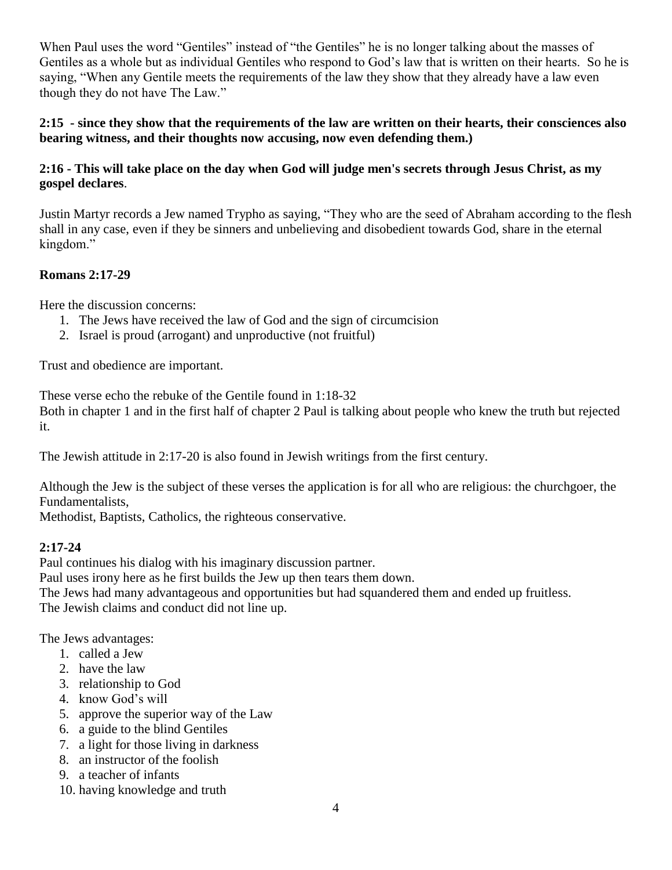When Paul uses the word "Gentiles" instead of "the Gentiles" he is no longer talking about the masses of Gentiles as a whole but as individual Gentiles who respond to God's law that is written on their hearts. So he is saying, "When any Gentile meets the requirements of the law they show that they already have a law even though they do not have The Law."

### **2:15 - since they show that the requirements of the law are written on their hearts, their consciences also bearing witness, and their thoughts now accusing, now even defending them.)**

## **2:16 - This will take place on the day when God will judge men's secrets through Jesus Christ, as my gospel declares**.

Justin Martyr records a Jew named Trypho as saying, "They who are the seed of Abraham according to the flesh shall in any case, even if they be sinners and unbelieving and disobedient towards God, share in the eternal kingdom."

# **Romans 2:17-29**

Here the discussion concerns:

- 1. The Jews have received the law of God and the sign of circumcision
- 2. Israel is proud (arrogant) and unproductive (not fruitful)

Trust and obedience are important.

These verse echo the rebuke of the Gentile found in 1:18-32

Both in chapter 1 and in the first half of chapter 2 Paul is talking about people who knew the truth but rejected it.

The Jewish attitude in 2:17-20 is also found in Jewish writings from the first century.

Although the Jew is the subject of these verses the application is for all who are religious: the churchgoer, the Fundamentalists,

Methodist, Baptists, Catholics, the righteous conservative.

### **2:17-24**

Paul continues his dialog with his imaginary discussion partner.

Paul uses irony here as he first builds the Jew up then tears them down.

The Jews had many advantageous and opportunities but had squandered them and ended up fruitless.

The Jewish claims and conduct did not line up.

The Jews advantages:

- 1. called a Jew
- 2. have the law
- 3. relationship to God
- 4. know God's will
- 5. approve the superior way of the Law
- 6. a guide to the blind Gentiles
- 7. a light for those living in darkness
- 8. an instructor of the foolish
- 9. a teacher of infants
- 10. having knowledge and truth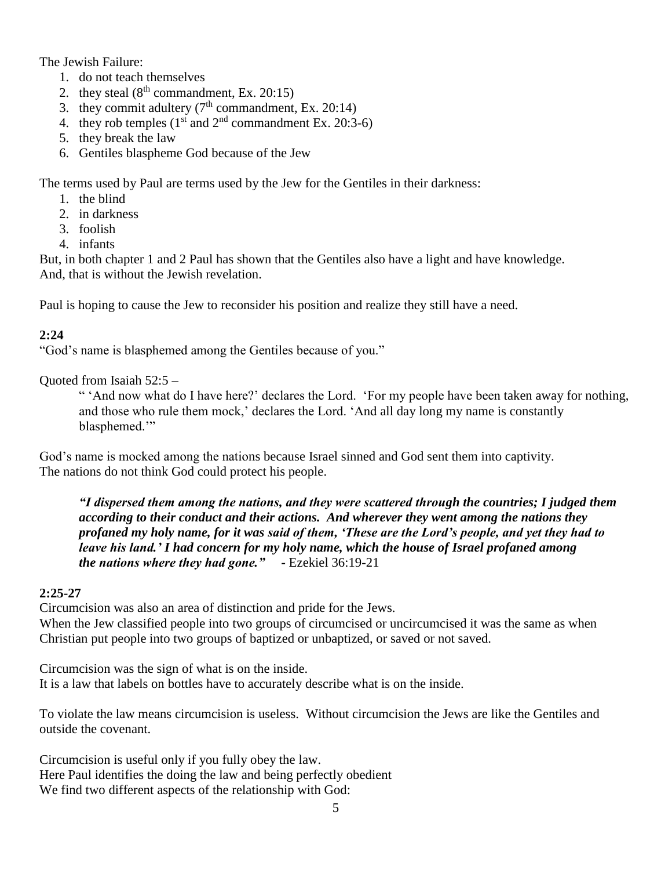The Jewish Failure:

- 1. do not teach themselves
- 2. they steal  $(8<sup>th</sup>$  commandment, Ex. 20:15)
- 3. they commit adultery  $(7<sup>th</sup>$  commandment, Ex. 20:14)
- 4. they rob temples  $(1<sup>st</sup>$  and  $2<sup>nd</sup>$  commandment Ex. 20:3-6)
- 5. they break the law
- 6. Gentiles blaspheme God because of the Jew

The terms used by Paul are terms used by the Jew for the Gentiles in their darkness:

- 1. the blind
- 2. in darkness
- 3. foolish
- 4. infants

But, in both chapter 1 and 2 Paul has shown that the Gentiles also have a light and have knowledge. And, that is without the Jewish revelation.

Paul is hoping to cause the Jew to reconsider his position and realize they still have a need.

### **2:24**

"God's name is blasphemed among the Gentiles because of you."

Quoted from Isaiah 52:5 –

" 'And now what do I have here?' declares the Lord. 'For my people have been taken away for nothing, and those who rule them mock,' declares the Lord. 'And all day long my name is constantly blasphemed."

God's name is mocked among the nations because Israel sinned and God sent them into captivity. The nations do not think God could protect his people.

*"I dispersed them among the nations, and they were scattered through the countries; I judged them according to their conduct and their actions. And wherever they went among the nations they profaned my holy name, for it was said of them, 'These are the Lord's people, and yet they had to leave his land.' I had concern for my holy name, which the house of Israel profaned among the nations where they had gone." -* Ezekiel 36:19-21

#### **2:25-27**

Circumcision was also an area of distinction and pride for the Jews.

When the Jew classified people into two groups of circumcised or uncircumcised it was the same as when Christian put people into two groups of baptized or unbaptized, or saved or not saved.

Circumcision was the sign of what is on the inside. It is a law that labels on bottles have to accurately describe what is on the inside.

To violate the law means circumcision is useless. Without circumcision the Jews are like the Gentiles and outside the covenant.

Circumcision is useful only if you fully obey the law. Here Paul identifies the doing the law and being perfectly obedient We find two different aspects of the relationship with God: